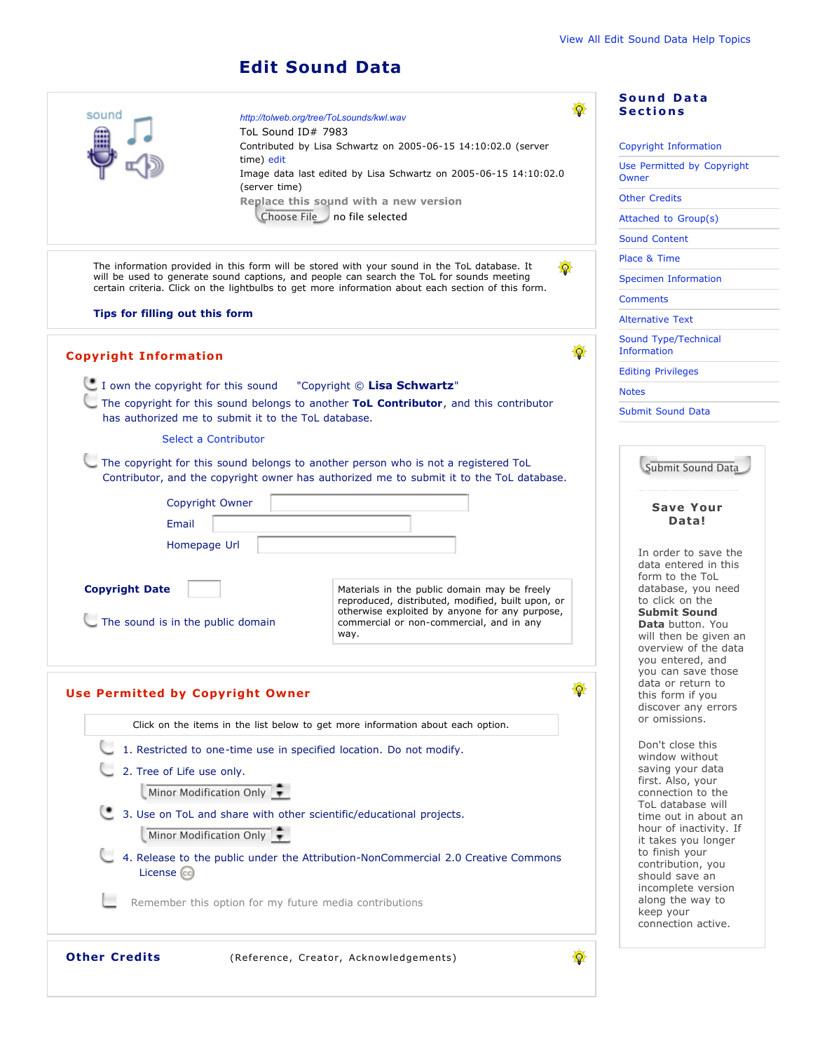## **Edit Sound Data**

| sound                                                                                                                                                                                           |                                                     | http://tolweb.org/tree/ToLsounds/kwl.wav                                                                                                                                       | <b>Sound Data</b><br><b>Sections</b>           |
|-------------------------------------------------------------------------------------------------------------------------------------------------------------------------------------------------|-----------------------------------------------------|--------------------------------------------------------------------------------------------------------------------------------------------------------------------------------|------------------------------------------------|
|                                                                                                                                                                                                 | ToL Sound ID# 7983                                  |                                                                                                                                                                                |                                                |
|                                                                                                                                                                                                 | time) edit                                          | Contributed by Lisa Schwartz on 2005-06-15 14:10:02.0 (server                                                                                                                  | Copyright Information                          |
|                                                                                                                                                                                                 | (server time)                                       | Image data last edited by Lisa Schwartz on 2005-06-15 14:10:02.0                                                                                                               | Use Permitted by Copyright<br>Owner            |
|                                                                                                                                                                                                 |                                                     | Replace this sound with a new version                                                                                                                                          | <b>Other Credits</b>                           |
|                                                                                                                                                                                                 |                                                     | Choose File no file selected                                                                                                                                                   | Attached to Group(s)                           |
|                                                                                                                                                                                                 |                                                     |                                                                                                                                                                                | <b>Sound Content</b>                           |
|                                                                                                                                                                                                 |                                                     | The information provided in this form will be stored with your sound in the ToL database. It                                                                                   | Place & Time                                   |
| will be used to generate sound captions, and people can search the ToL for sounds meeting<br>certain criteria. Click on the lightbulbs to get more information about each section of this form. |                                                     | Specimen Information                                                                                                                                                           |                                                |
|                                                                                                                                                                                                 |                                                     |                                                                                                                                                                                | <b>Comments</b>                                |
| Tips for filling out this form                                                                                                                                                                  |                                                     |                                                                                                                                                                                | <b>Alternative Text</b>                        |
| <b>Copyright Information</b>                                                                                                                                                                    |                                                     |                                                                                                                                                                                | Sound Type/Technical<br><b>Information</b>     |
|                                                                                                                                                                                                 |                                                     |                                                                                                                                                                                | <b>Editing Privileges</b>                      |
|                                                                                                                                                                                                 |                                                     | I own the copyright for this sound "Copyright © Lisa Schwartz"                                                                                                                 | <b>Notes</b>                                   |
|                                                                                                                                                                                                 | has authorized me to submit it to the ToL database. | The copyright for this sound belongs to another ToL Contributor, and this contributor                                                                                          | <b>Submit Sound Data</b>                       |
|                                                                                                                                                                                                 | Select a Contributor                                |                                                                                                                                                                                |                                                |
|                                                                                                                                                                                                 |                                                     | The copyright for this sound belongs to another person who is not a registered ToL<br>Contributor, and the copyright owner has authorized me to submit it to the ToL database. | Submit Sound Data                              |
|                                                                                                                                                                                                 | Copyright Owner                                     |                                                                                                                                                                                | <b>Save Your</b>                               |
| Email                                                                                                                                                                                           |                                                     |                                                                                                                                                                                | Data!                                          |
|                                                                                                                                                                                                 | Homepage Url                                        |                                                                                                                                                                                |                                                |
|                                                                                                                                                                                                 |                                                     |                                                                                                                                                                                | In order to save the<br>data entered in this   |
|                                                                                                                                                                                                 |                                                     |                                                                                                                                                                                | form to the ToL                                |
| <b>Copyright Date</b>                                                                                                                                                                           |                                                     | Materials in the public domain may be freely<br>reproduced, distributed, modified, built upon, or                                                                              | database, you need<br>to click on the          |
| The sound is in the public domain                                                                                                                                                               |                                                     | otherwise exploited by anyone for any purpose,<br>commercial or non-commercial, and in any                                                                                     | <b>Submit Sound</b><br><b>Data</b> button. You |
|                                                                                                                                                                                                 |                                                     | way.                                                                                                                                                                           | will then be given an                          |
|                                                                                                                                                                                                 |                                                     |                                                                                                                                                                                | overview of the data<br>you entered, and       |
|                                                                                                                                                                                                 |                                                     |                                                                                                                                                                                | you can save those                             |
| <b>Use Permitted by Copyright Owner</b>                                                                                                                                                         | data or return to<br>癳<br>this form if you          |                                                                                                                                                                                |                                                |
|                                                                                                                                                                                                 |                                                     |                                                                                                                                                                                | discover any errors                            |
|                                                                                                                                                                                                 |                                                     | Click on the items in the list below to get more information about each option.                                                                                                | or omissions.                                  |
| 1. Restricted to one-time use in specified location. Do not modify.                                                                                                                             |                                                     |                                                                                                                                                                                | Don't close this<br>window without             |
| 2. Tree of Life use only.                                                                                                                                                                       |                                                     |                                                                                                                                                                                | saving your data                               |
| Minor Modification Only                                                                                                                                                                         |                                                     |                                                                                                                                                                                | first. Also, your<br>connection to the         |
| 3. Use on ToL and share with other scientific/educational projects.                                                                                                                             |                                                     |                                                                                                                                                                                | ToL database will<br>time out in about an      |
| Minor Modification Only                                                                                                                                                                         |                                                     |                                                                                                                                                                                | hour of inactivity. If                         |
|                                                                                                                                                                                                 |                                                     |                                                                                                                                                                                | it takes you longer<br>to finish your          |
|                                                                                                                                                                                                 |                                                     | 4. Release to the public under the Attribution-NonCommercial 2.0 Creative Commons                                                                                              | contribution, you                              |
| License (cc)                                                                                                                                                                                    |                                                     |                                                                                                                                                                                | should save an                                 |
|                                                                                                                                                                                                 |                                                     | Remember this option for my future media contributions                                                                                                                         | incomplete version<br>along the way to         |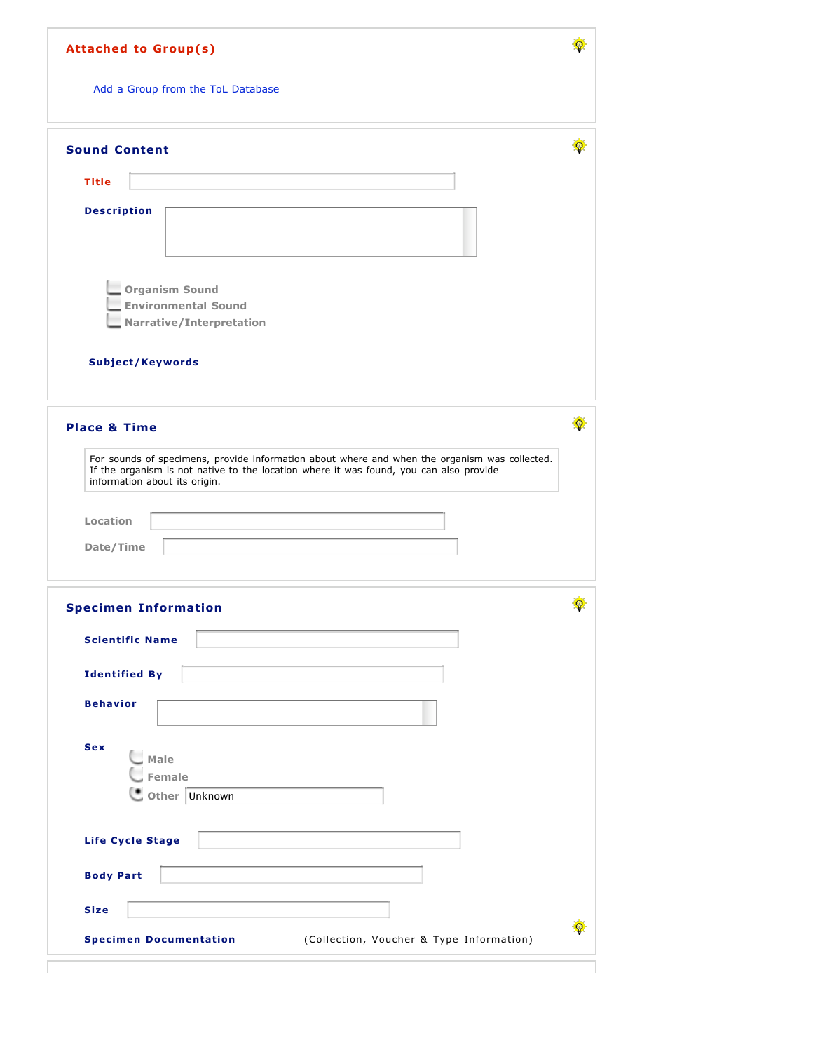| <b>Attached to Group(s)</b>                                                                                                                                                                                                          |   |
|--------------------------------------------------------------------------------------------------------------------------------------------------------------------------------------------------------------------------------------|---|
| Add a Group from the ToL Database                                                                                                                                                                                                    |   |
| <b>Sound Content</b>                                                                                                                                                                                                                 | 優 |
| <b>Title</b>                                                                                                                                                                                                                         |   |
| <b>Description</b>                                                                                                                                                                                                                   |   |
| <b>Organism Sound</b><br><b>Environmental Sound</b><br>Narrative/Interpretation                                                                                                                                                      |   |
| Subject/Keywords                                                                                                                                                                                                                     |   |
| <b>Place &amp; Time</b>                                                                                                                                                                                                              | Φ |
| For sounds of specimens, provide information about where and when the organism was collected.<br>If the organism is not native to the location where it was found, you can also provide<br>information about its origin.<br>Location |   |
| Date/Time                                                                                                                                                                                                                            |   |
| <b>Specimen Information</b>                                                                                                                                                                                                          |   |
| <b>Scientific Name</b>                                                                                                                                                                                                               |   |
| <b>Identified By</b>                                                                                                                                                                                                                 |   |
| <b>Behavior</b>                                                                                                                                                                                                                      |   |
| <b>Sex</b><br>Male<br><b>Female</b>                                                                                                                                                                                                  |   |
| Other Unknown                                                                                                                                                                                                                        |   |
|                                                                                                                                                                                                                                      |   |
| Life Cycle Stage                                                                                                                                                                                                                     |   |
| <b>Body Part</b>                                                                                                                                                                                                                     |   |
| <b>Size</b>                                                                                                                                                                                                                          | œ |